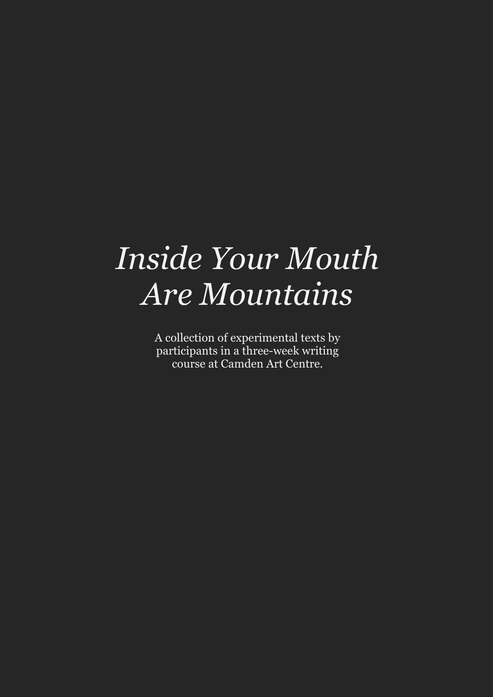# *Inside Your Mouth Are Mountains*

A collection of experimental texts by participants in a three-week writing course at Camden Art Centre.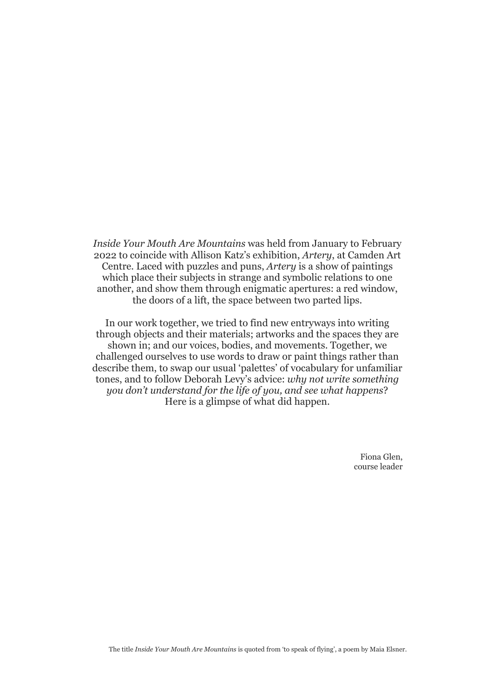*Inside Your Mouth Are Mountains* was held from January to February 2022 to coincide with Allison Katz's exhibition, *Artery*, at Camden Art Centre. Laced with puzzles and puns, *Artery* is a show of paintings which place their subjects in strange and symbolic relations to one another, and show them through enigmatic apertures: a red window, the doors of a lift, the space between two parted lips.

In our work together, we tried to find new entryways into writing through objects and their materials; artworks and the spaces they are shown in; and our voices, bodies, and movements. Together, we challenged ourselves to use words to draw or paint things rather than describe them, to swap our usual 'palettes' of vocabulary for unfamiliar tones, and to follow Deborah Levy's advice: *why not write something you don't understand for the life of you, and see what happens*? Here is a glimpse of what did happen.

> Fiona Glen, course leader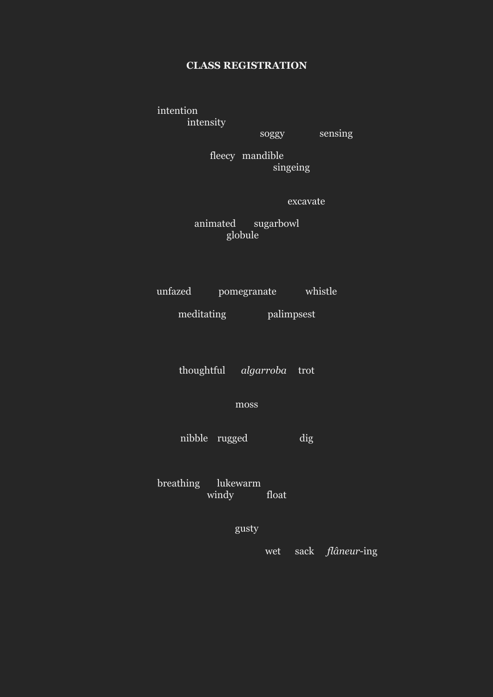### **CLASS REGISTRATION**

intention intensity

soggy sensing

fleecy mandible singeing

excavate

animated sugarbowl globule

unfazed pomegranate whistle

meditating palimpsest

thoughtful *algarroba* trot

moss

nibble rugged dig

breathing lukewarm windy float

gusty

wet sack *flâneur*-ing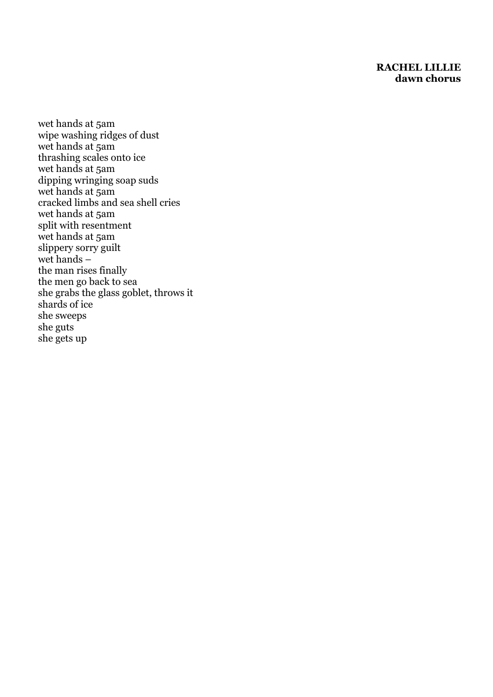### **RACHEL LILLIE dawn chorus**

wet hands at 5am wipe washing ridges of dust wet hands at 5am thrashing scales onto ice wet hands at 5am dipping wringing soap suds wet hands at 5am cracked limbs and sea shell cries wet hands at 5am split with resentment wet hands at 5am slippery sorry guilt wet hands – the man rises finally the men go back to sea she grabs the glass goblet, throws it shards of ice she sweeps she guts she gets up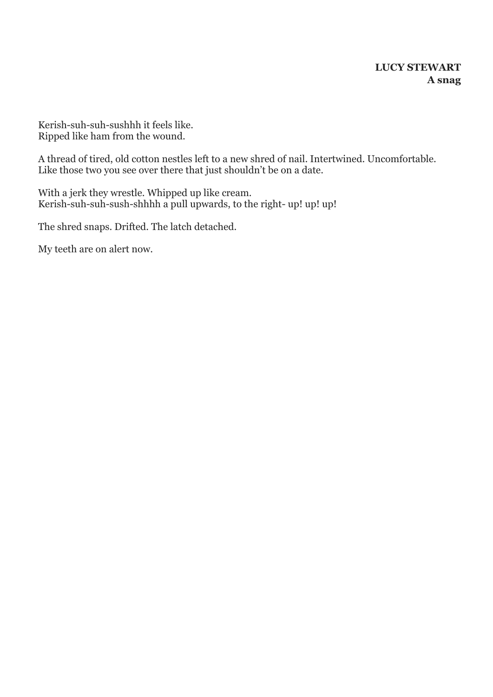### **LUCY STEWART A snag**

Kerish-suh-suh-sushhh it feels like. Ripped like ham from the wound.

A thread of tired, old cotton nestles left to a new shred of nail. Intertwined. Uncomfortable. Like those two you see over there that just shouldn't be on a date.

With a jerk they wrestle. Whipped up like cream. Kerish-suh-suh-sush-shhhh a pull upwards, to the right- up! up! up!

The shred snaps. Drifted. The latch detached.

My teeth are on alert now.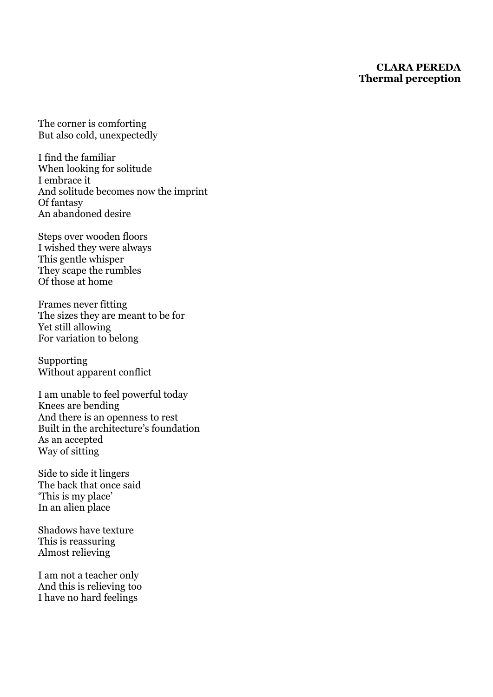### **CLARA PEREDA Thermal perception**

The corner is comforting But also cold, unexpectedly

I find the familiar When looking for solitude I embrace it And solitude becomes now the imprint Of fantasy An abandoned desire

Steps over wooden floors I wished they were always This gentle whisper They scape the rumbles Of those at home

Frames never fitting The sizes they are meant to be for Yet still allowing For variation to belong

Supporting Without apparent conflict

I am unable to feel powerful today Knees are bending And there is an openness to rest Built in the architecture's foundation As an accepted Way of sitting

Side to side it lingers The back that once said 'This is my place' In an alien place

Shadows have texture This is reassuring Almost relieving

I am not a teacher only And this is relieving too I have no hard feelings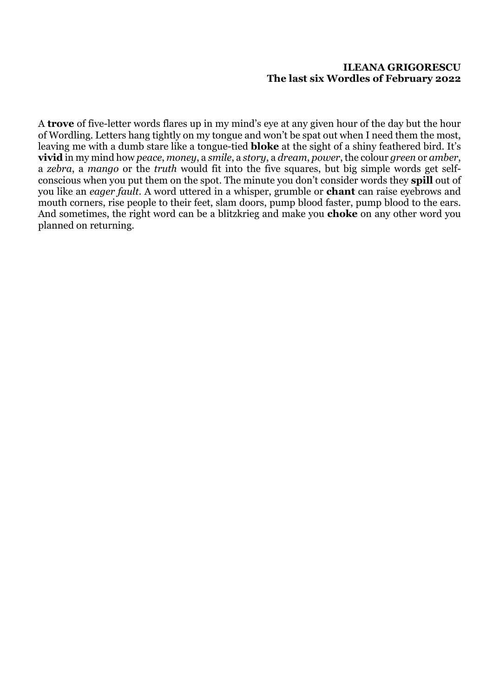### **ILEANA GRIGORESCU The last six Wordles of February 2022**

A **trove** of five-letter words flares up in my mind's eye at any given hour of the day but the hour of Wordling. Letters hang tightly on my tongue and won't be spat out when I need them the most, leaving me with a dumb stare like a tongue-tied **bloke** at the sight of a shiny feathered bird. It's **vivid** in my mind how *peace*, *money*, a *smile*, a *story*, a *dream*, *power*, the colour *green* or *amber*, a *zebra*, a *mango* or the *truth* would fit into the five squares, but big simple words get selfconscious when you put them on the spot. The minute you don't consider words they **spill** out of you like an *eager fault*. A word uttered in a whisper, grumble or **chant** can raise eyebrows and mouth corners, rise people to their feet, slam doors, pump blood faster, pump blood to the ears. And sometimes, the right word can be a blitzkrieg and make you **choke** on any other word you planned on returning.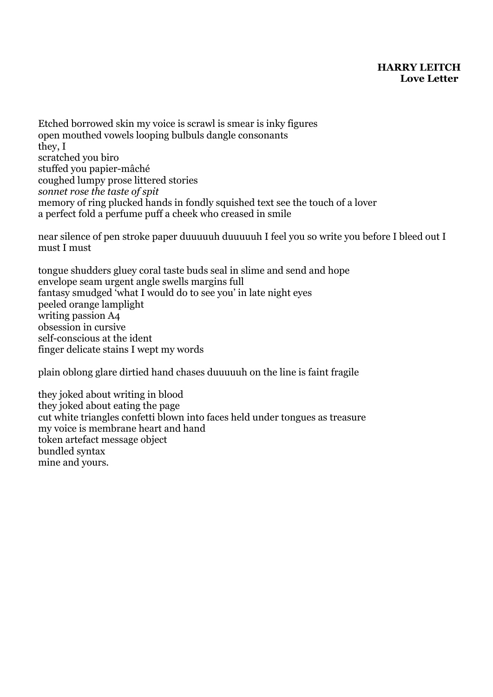### **HARRY LEITCH Love Letter**

Etched borrowed skin my voice is scrawl is smear is inky figures open mouthed vowels looping bulbuls dangle consonants they, I scratched you biro stuffed you papier-mâché coughed lumpy prose littered stories *sonnet rose the taste of spit* memory of ring plucked hands in fondly squished text see the touch of a lover a perfect fold a perfume puff a cheek who creased in smile

near silence of pen stroke paper duuuuuh duuuuuh I feel you so write you before I bleed out I must I must

tongue shudders gluey coral taste buds seal in slime and send and hope envelope seam urgent angle swells margins full fantasy smudged 'what I would do to see you' in late night eyes peeled orange lamplight writing passion A4 obsession in cursive self-conscious at the ident finger delicate stains I wept my words

plain oblong glare dirtied hand chases duuuuuh on the line is faint fragile

they joked about writing in blood they joked about eating the page cut white triangles confetti blown into faces held under tongues as treasure my voice is membrane heart and hand token artefact message object bundled syntax mine and yours.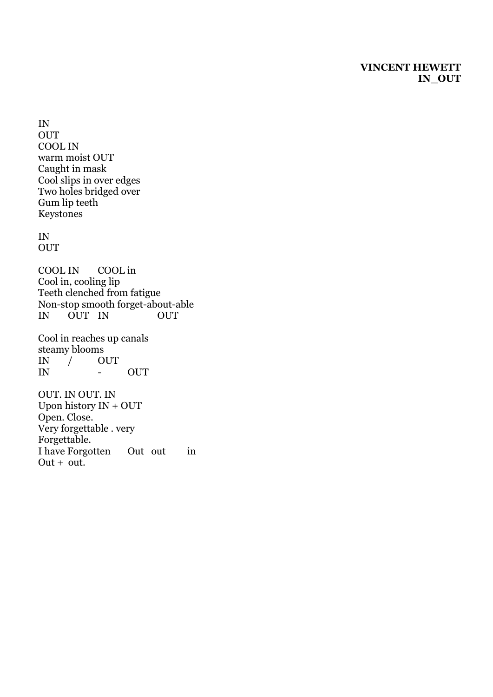### **VINCENT HEWETT IN\_OUT**

IN **OUT** COOL IN warm moist OUT Caught in mask Cool slips in over edges Two holes bridged over Gum lip teeth Keystones

#### IN **OUT**

COOL IN COOL in Cool in, cooling lip Teeth clenched from fatigue Non -stop smooth forget -about -able IN OUT IN OUT

Cool in reaches up canals steamy blooms IN / OUT IN - OUT

OUT. IN OUT. IN Upon history IN + OUT Open. Close. Very forgettable . very Forgettable. I have Forgotten Out out in  $Out + out.$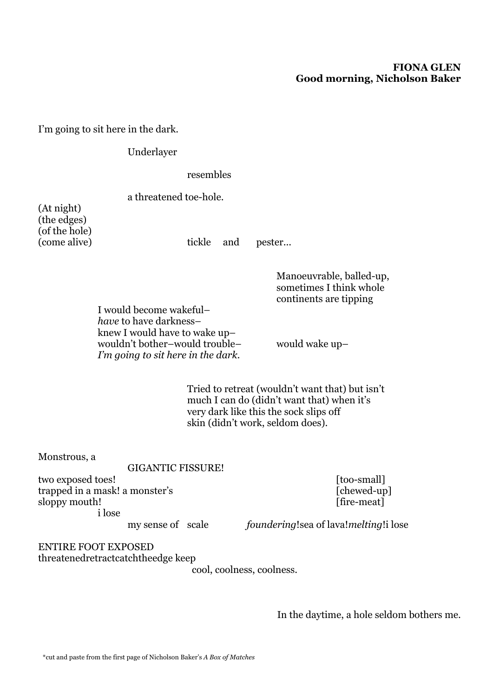### **FIONA GLEN Good morning, Nicholson Baker**

I'm going to sit here in the dark.

Underlayer

resembles

(At night) (the edges) (of the hole)

a threatened toe-hole.

(come alive) tickle and pester...

Manoeuvrable, balled-up, sometimes I think whole continents are tipping

I would become wakeful– *have* to have darkness– knew I would have to wake up– wouldn't bother–would trouble– would wake up– *I'm going to sit here in the dark.*

Tried to retreat (wouldn't want that) but isn't much I can do (didn't want that) when it's very dark like this the sock slips off skin (didn't work, seldom does).

Monstrous, a

GIGANTIC FISSURE!

two exposed toes! [too-small] trapped in a mask! a monster's [chewed-up] sloppy mouth! [fire-meat] i lose

my sense of scale *foundering*!sea of lava!*melting*!i lose

ENTIRE FOOT EXPOSED threatenedretractcatchtheedge keep

cool, coolness, coolness.

In the daytime, a hole seldom bothers me.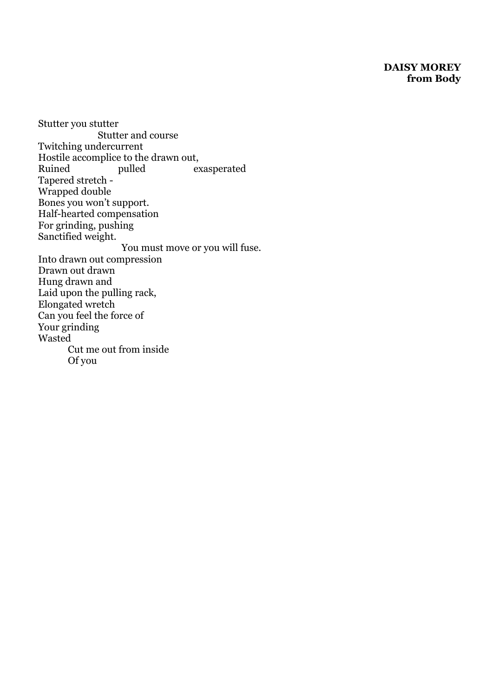### **DAISY MOREY from Body**

Stutter you stutter Stutter and course Twitching undercurrent Hostile accomplice to the drawn out, Ruined pulled exasperated Tapered stretch - Wrapped double Bones you won't support. Half-hearted compensation For grinding, pushing Sanctified weight. You must move or you will fuse. Into drawn out compression Drawn out drawn Hung drawn and Laid upon the pulling rack, Elongated wretch Can you feel the force of Your grinding Wasted Cut me out from inside Of you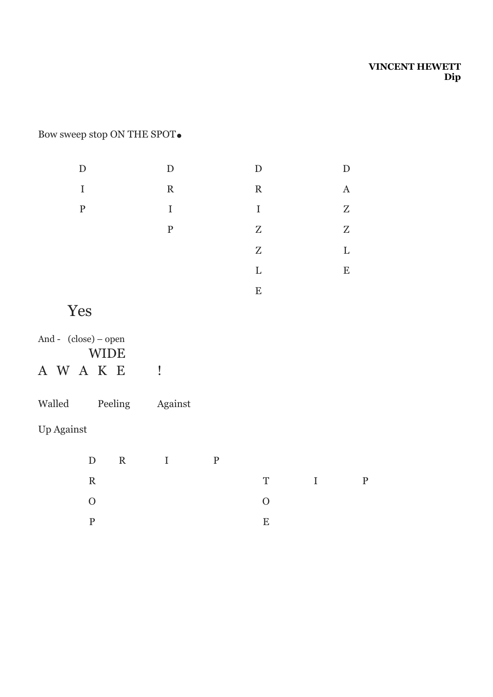### **VINCENT HEWETT Dip**

# Bow sweep stop ON THE SPOT**.**

| D           | D            | D           |                |
|-------------|--------------|-------------|----------------|
| I           | $\mathbf{R}$ | $\mathbf R$ | $\overline{A}$ |
| $\mathbf P$ | $\bf{I}$     | $\bf{I}$    | Z              |
|             | $\mathbf{P}$ | $Z_{\rm}$   | Z              |
|             |              | Z           | L              |
|             |              | L           | E              |
|             |              | E           |                |

# Yes

| And - $(close)$ – open |             |  |  |
|------------------------|-------------|--|--|
|                        | <b>WIDE</b> |  |  |
| A W A K E              |             |  |  |

| Walled | Peeling | Against |
|--------|---------|---------|
|--------|---------|---------|

## Up Against

|                | D R I P |                |       |  |
|----------------|---------|----------------|-------|--|
| $\mathbf R$    |         |                | T I P |  |
| $\overline{O}$ |         | $\overline{O}$ |       |  |
|                |         | E.             |       |  |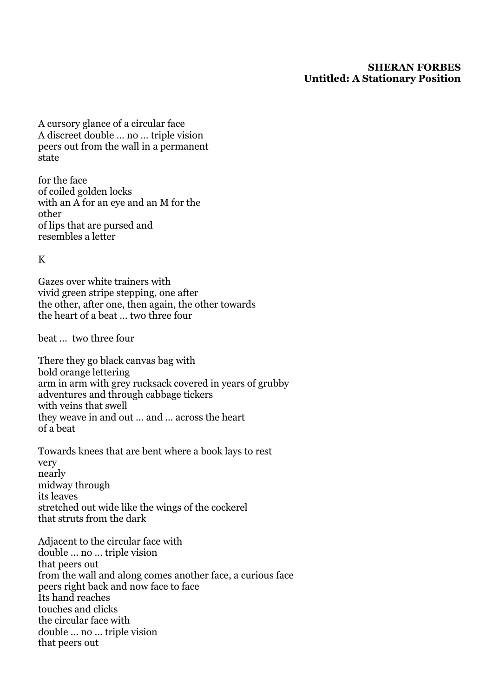### **SHERAN FORBES Untitled: A Stationary Position**

A cursory glance of a circular face A discreet double … no … triple vision peers out from the wall in a permanent state

for the face of coiled golden locks with an A for an eye and an M for the other of lips that are pursed and resembles a letter

K

Gazes over white trainers with vivid green stripe stepping, one after the other, after one, then again, the other towards the heart of a beat … two three four

beat ... two three four

There they go black canvas bag with bold orange lettering arm in arm with grey rucksack covered in years of grubby adventures and through cabbage tickers with veins that swell they weave in and out ... and ... across the heart of a beat

Towards knees that are bent where a book lays to rest very nearly midway through its leaves stretched out wide like the wings of the cockerel that struts from the dark

Adjacent to the circular face with double ... no … triple vision that peers out from the wall and along comes another face, a curious face peers right back and now face to face Its hand reaches touches and clicks the circular face with double ... no … triple vision that peers out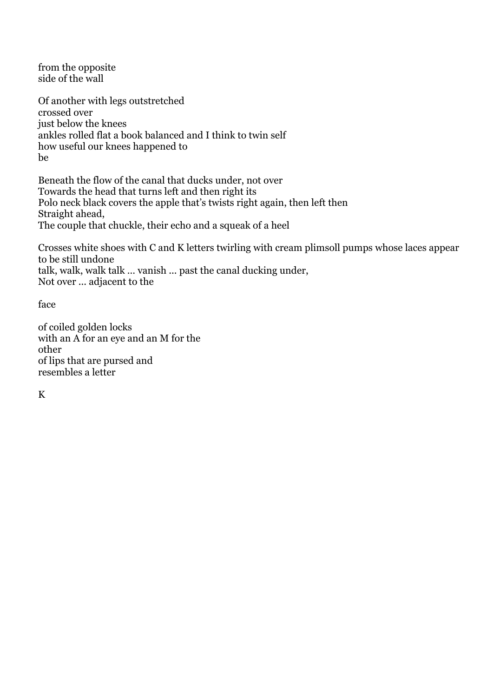from the opposite side of the wall

Of another with legs outstretched crossed over just below the knees ankles rolled flat a book balanced and I think to twin self how useful our knees happened to be

Beneath the flow of the canal that ducks under, not over Towards the head that turns left and then right its Polo neck black covers the apple that's twists right again, then left then Straight ahead, The couple that chuckle, their echo and a squeak of a heel

Crosses white shoes with C and K letters twirling with cream plimsoll pumps whose laces appear to be still undone talk, walk, walk talk … vanish ... past the canal ducking under, Not over ... adjacent to the

face

of coiled golden locks with an A for an eye and an M for the other of lips that are pursed and resembles a letter

K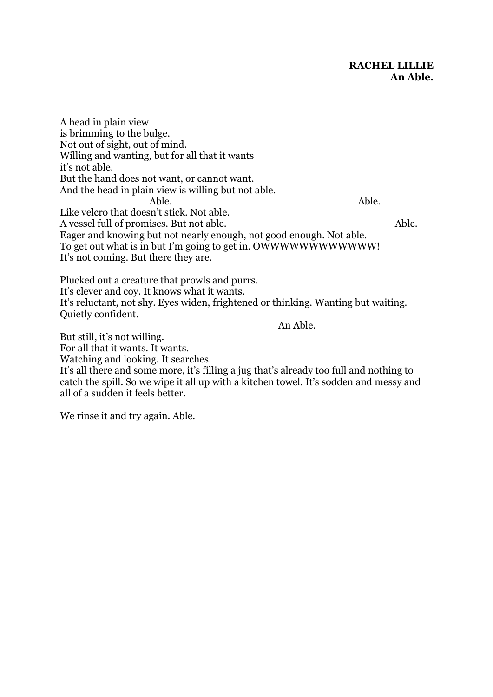A head in plain view is brimming to the bulge. Not out of sight, out of mind. Willing and wanting, but for all that it wants it's not able. But the hand does not want, or cannot want. And the head in plain view is willing but not able. Able. Able. Like velcro that doesn't stick. Not able. A vessel full of promises. But not able. Able. Eager and knowing but not nearly enough, not good enough. Not able. To get out what is in but I'm going to get in. OWWWWWWWWWWWW! It's not coming. But there they are.

Plucked out a creature that prowls and purrs. It's clever and coy. It knows what it wants. It's reluctant, not shy. Eyes widen, frightened or thinking. Wanting but waiting. Quietly confident.

An Able.

But still, it's not willing. For all that it wants. It wants. Watching and looking. It searches. It's all there and some more, it's filling a jug that's already too full and nothing to catch the spill. So we wipe it all up with a kitchen towel. It's sodden and messy and all of a sudden it feels better.

We rinse it and try again. Able.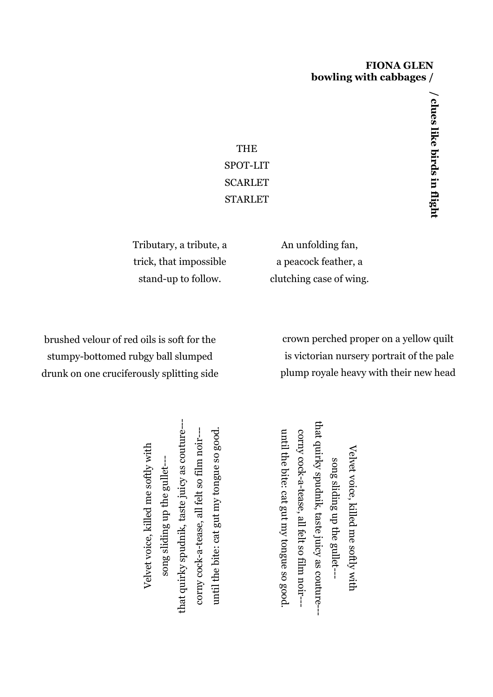### **FIONA GLEN bowling with cabbages /**

THE SPOT-LIT SCARLET STARLET

Tributary, a tribute, a trick, that impossible stand-up to follow.

An unfolding fan, a peacock feather, a clutching case of wing.

brushed velour of red oils is soft for the stumpy-bottomed rubgy ball slumped drunk on one cruciferously splitting side

crown perched proper on a yellow quilt is victorian nursery portrait of the pale plump royale heavy with their new head

that quirky spudnik, taste juicy as couture-- that quirky spudnik, taste juicy as couturefilm noir-- until the bite: cat gut my tongue so good. until the bite: cat gut my tongue so good. corny cock-a-tease, all felt so film noir--Velvet voice, killed me softly with Velvet voice, killed me softly with song sliding up the gullet-- song sliding up the gullet-corny cock-a-tease, all felt so

that quirky spudnik, taste juicy as couture--that quirky until the bite: cat gut my tongue so good corny cock-a-tease, all felt so film noir--until the bite: cat gut my tongue so good. corny cock-a-tease, all felt so Velvet voice, killed Velvet voice, killed me softly with song sliding up the gullet--song sliding up the gullet-- taste juicy as couture-- me softly with film noir---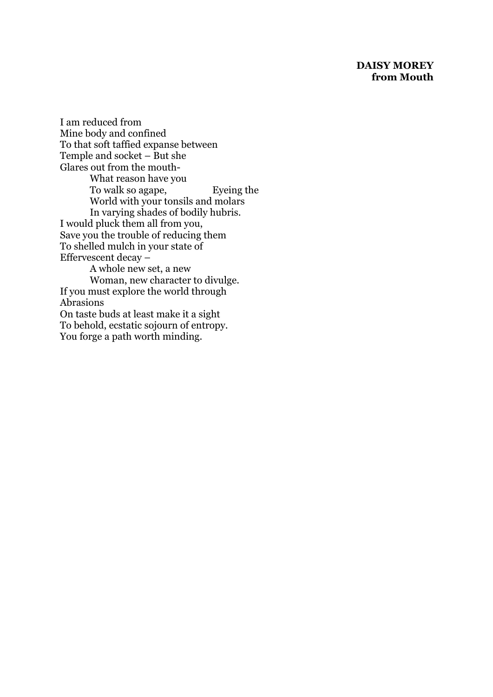### **DAISY MOREY from Mouth**

I am reduced from Mine body and confined To that soft taffied expanse between Temple and socket – But she Glares out from the mouth-What reason have you To walk so agape, Eyeing the World with your tonsils and molars In varying shades of bodily hubris. I would pluck them all from you, Save you the trouble of reducing them To shelled mulch in your state of Effervescent decay – A whole new set, a new Woman, new character to divulge. If you must explore the world through Abrasions On taste buds at least make it a sight To behold, ecstatic sojourn of entropy. You forge a path worth minding.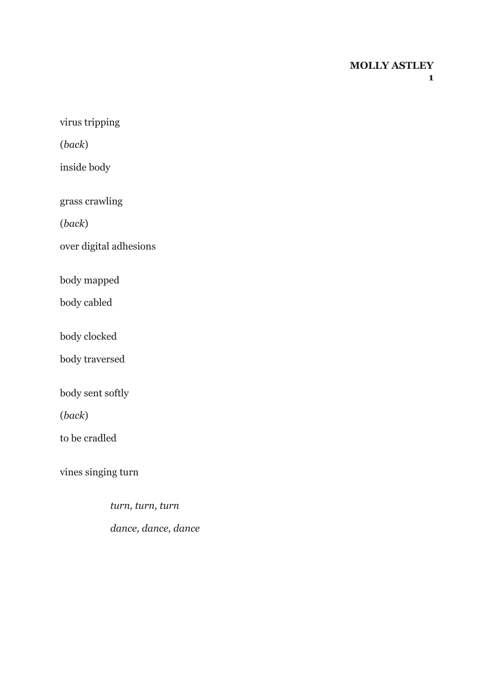### **MOLLY ASTLEY**

virus tripping

(*back*)

inside body

grass crawling

(*back*)

over digital adhesions

body mapped

body cabled

body clocked

body traversed

body sent softly

(*back*)

to be cradled

vines singing turn

 *turn, turn, turn dance, dance, dance*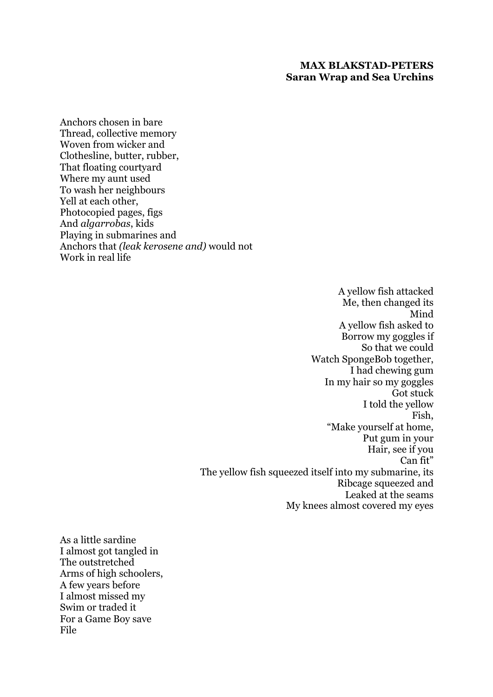### **MAX BLAKSTAD-PETERS Saran Wrap and Sea Urchins**

Anchors chosen in bare Thread, collective memory Woven from wicker and Clothesline, butter, rubber, That floating courtyard Where my aunt used To wash her neighbours Yell at each other, Photocopied pages, figs And *algarrobas*, kids Playing in submarines and Anchors that *(leak kerosene and)* would not Work in real life

> A yellow fish attacked Me, then changed its Mind A yellow fish asked to Borrow my goggles if So that we could Watch SpongeBob together, I had chewing gum In my hair so my goggles Got stuck I told the yellow Fish, "Make yourself at home, Put gum in your Hair, see if you Can fit" The yellow fish squeezed itself into my submarine, its Ribcage squeezed and Leaked at the seams My knees almost covered my eyes

As a little sardine I almost got tangled in The outstretched Arms of high schoolers, A few years before I almost missed my Swim or traded it For a Game Boy save File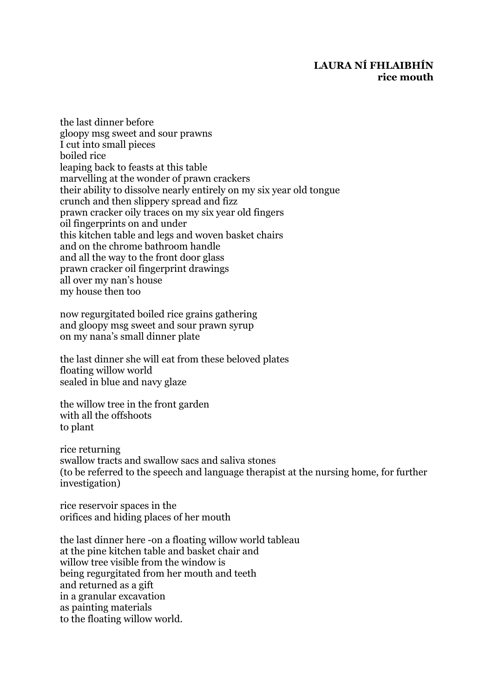### **LAURA NÍ FHLAIBHÍN rice mouth**

the last dinner before gloopy msg sweet and sour prawns I cut into small pieces boiled rice leaping back to feasts at this table marvelling at the wonder of prawn crackers their ability to dissolve nearly entirely on my six year old tongue crunch and then slippery spread and fizz prawn cracker oily traces on my six year old fingers oil fingerprints on and under this kitchen table and legs and woven basket chairs and on the chrome bathroom handle and all the way to the front door glass prawn cracker oil fingerprint drawings all over my nan's house my house then too

now regurgitated boiled rice grains gathering and gloopy msg sweet and sour prawn syrup on my nana's small dinner plate

the last dinner she will eat from these beloved plates floating willow world sealed in blue and navy glaze

the willow tree in the front garden with all the offshoots to plant

rice returning swallow tracts and swallow sacs and saliva stones (to be referred to the speech and language therapist at the nursing home, for further investigation)

rice reservoir spaces in the orifices and hiding places of her mouth

the last dinner here -on a floating willow world tableau at the pine kitchen table and basket chair and willow tree visible from the window is being regurgitated from her mouth and teeth and returned as a gift in a granular excavation as painting materials to the floating willow world.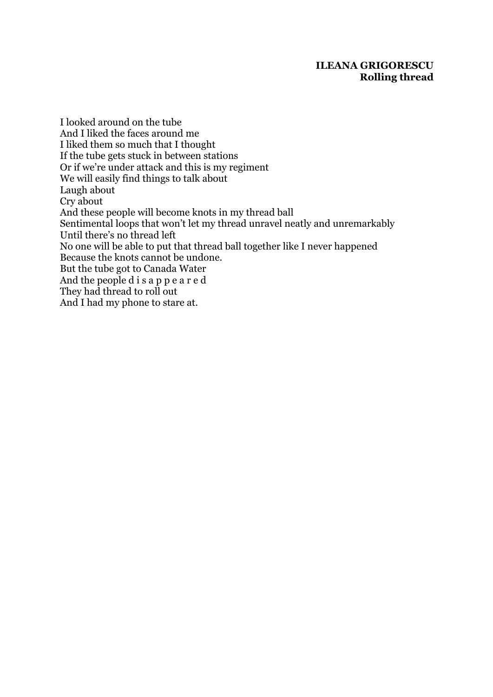### **ILEANA GRIGORESCU Rolling thread**

I looked around on the tube And I liked the faces around me I liked them so much that I thought If the tube gets stuck in between stations Or if we're under attack and this is my regiment We will easily find things to talk about Laugh about Cry about And these people will become knots in my thread ball Sentimental loops that won't let my thread unravel neatly and unremarkably Until there's no thread left No one will be able to put that thread ball together like I never happened Because the knots cannot be undone. But the tube got to Canada Water And the people d i s a p p e a r e d They had thread to roll out And I had my phone to stare at.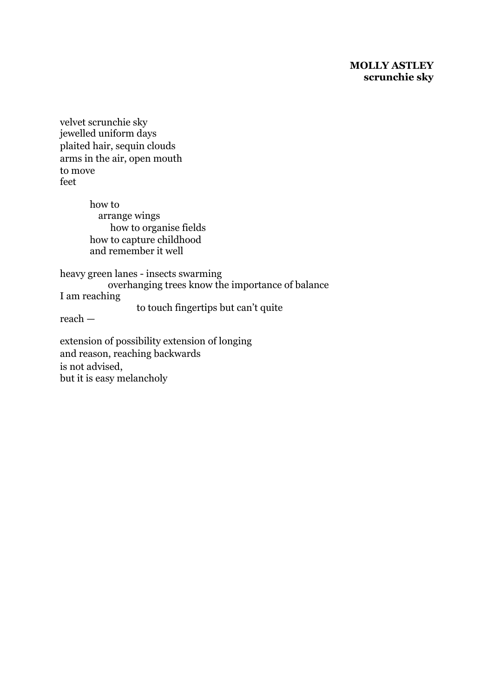### **MOLLY ASTLEY scrunchie sky**

velvet scrunchie sky jewelled uniform days plaited hair, sequin clouds arms in the air, open mouth to move feet

> how to arrange wings how to organise fields how to capture childhood and remember it well

heavy green lanes - insects swarming overhanging trees know the importance of balance I am reaching to touch fingertips but can't quite

reach —

extension of possibility extension of longing and reason, reaching backwards is not advised, but it is easy melancholy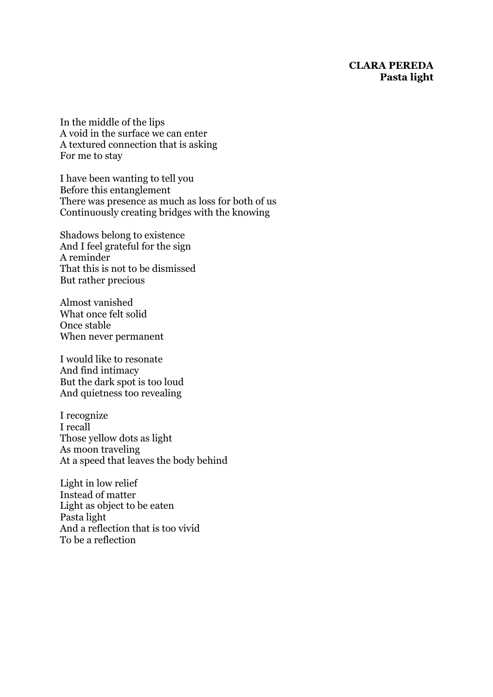### **CLARA PEREDA Pasta light**

In the middle of the lips A void in the surface we can enter A textured connection that is asking For me to stay

I have been wanting to tell you Before this entanglement There was presence as much as loss for both of us Continuously creating bridges with the knowing

Shadows belong to existence And I feel grateful for the sign A reminder That this is not to be dismissed But rather precious

Almost vanished What once felt solid Once stable When never permanent

I would like to resonate And find intimacy But the dark spot is too loud And quietness too revealing

I recognize I recall Those yellow dots as light As moon traveling At a speed that leaves the body behind

Light in low relief Instead of matter Light as object to be eaten Pasta light And a reflection that is too vivid To be a reflection